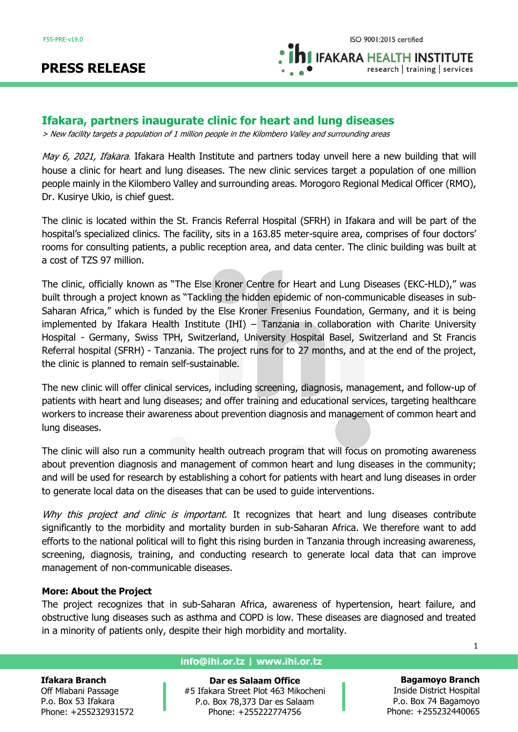# **PRESS RELEASE**

**IFAKARA HEALTH INSTITUTE** research | training | services

# **Ifakara, partners inaugurate clinic for heart and lung diseases**

> New facility targets a population of 1 million people in the Kilombero Valley and surrounding areas

May 6, 2021, Ifakara. Ifakara Health Institute and partners today unveil here a new building that will house a clinic for heart and lung diseases. The new clinic services target a population of one million people mainly in the Kilombero Valley and surrounding areas. Morogoro Regional Medical Officer (RMO), Dr. Kusirye Ukio, is chief guest.

The clinic is located within the St. Francis Referral Hospital (SFRH) in Ifakara and will be part of the hospital's specialized clinics. The facility, sits in a 163.85 meter-squire area, comprises of four doctors' rooms for consulting patients, a public reception area, and data center. The clinic building was built at a cost of TZS 97 million.

The clinic, officially known as "The Else Kroner Centre for Heart and Lung Diseases (EKC-HLD)," was built through a project known as "Tackling the hidden epidemic of non-communicable diseases in sub-Saharan Africa," which is funded by the Else Kroner Fresenius Foundation, Germany, and it is being implemented by Ifakara Health Institute (IHI) – Tanzania in collaboration with Charite University Hospital - Germany, Swiss TPH, Switzerland, University Hospital Basel, Switzerland and St Francis Referral hospital (SFRH) - Tanzania. The project runs for to 27 months, and at the end of the project, the clinic is planned to remain self-sustainable.

The new clinic will offer clinical services, including screening, diagnosis, management, and follow-up of patients with heart and lung diseases; and offer training and educational services, targeting healthcare workers to increase their awareness about prevention diagnosis and management of common heart and lung diseases.

The clinic will also run a community health outreach program that will focus on promoting awareness about prevention diagnosis and management of common heart and lung diseases in the community; and will be used for research by establishing a cohort for patients with heart and lung diseases in order to generate local data on the diseases that can be used to guide interventions.

Why this project and clinic is important. It recognizes that heart and lung diseases contribute significantly to the morbidity and mortality burden in sub-Saharan Africa. We therefore want to add efforts to the national political will to fight this rising burden in Tanzania through increasing awareness, screening, diagnosis, training, and conducting research to generate local data that can improve management of non-communicable diseases.

## **More: About the Project**

The project recognizes that in sub-Saharan Africa, awareness of hypertension, heart failure, and obstructive lung diseases such as asthma and COPD is low. These diseases are diagnosed and treated in a minority of patients only, despite their high morbidity and mortality.

#### **Ifakara Branch**

Off Mlabani Passage P.o. Box 53 Ifakara Phone: +255232931572

#### **info@ihi.or.tz | www.ihi.or.tz**

**Dar es Salaam Office** #5 Ifakara Street Plot 463 Mikocheni P.o. Box 78,373 Dar es Salaam Phone: +255222774756

**Bagamoyo Branch** Inside District Hospital P.o. Box 74 Bagamoyo Phone: +255232440065

1